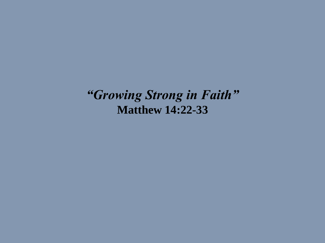*"Growing Strong in Faith"* **Matthew 14:22-33**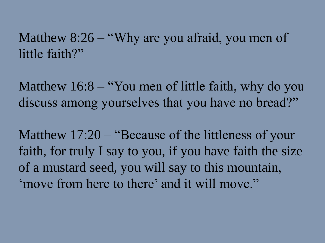Matthew 8:26 – "Why are you afraid, you men of little faith?"

Matthew 16:8 – "You men of little faith, why do you discuss among yourselves that you have no bread?"

Matthew 17:20 – "Because of the littleness of your faith, for truly I say to you, if you have faith the size of a mustard seed, you will say to this mountain, 'move from here to there' and it will move."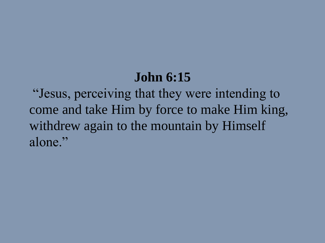#### **John 6:15**

"Jesus, perceiving that they were intending to come and take Him by force to make Him king, withdrew again to the mountain by Himself alone."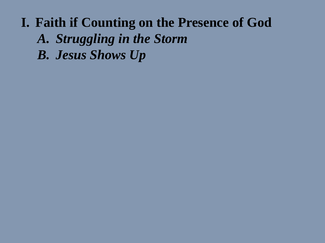- *A. Struggling in the Storm*
- *B. Jesus Shows Up*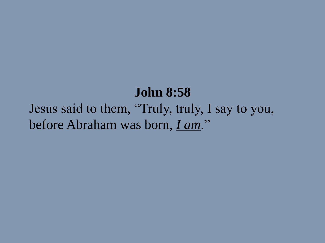#### **John 8:58**

Jesus said to them, "Truly, truly, I say to you, before Abraham was born, *I am*."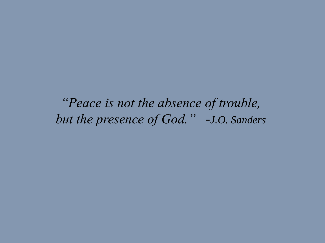*"Peace is not the absence of trouble, but the presence of God." -J.O. Sanders*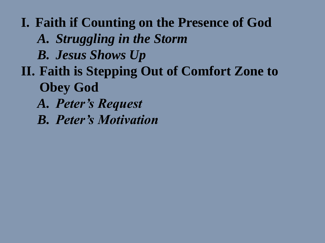**I. Faith if Counting on the Presence of God** *A. Struggling in the Storm B. Jesus Shows Up* **II. Faith is Stepping Out of Comfort Zone to Obey God** *A. Peter's Request B. Peter's Motivation*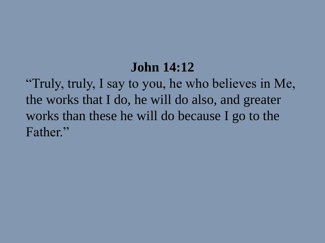### **John 14:12**

"Truly, truly, I say to you, he who believes in Me, the works that I do, he will do also, and greater works than these he will do because I go to the Father."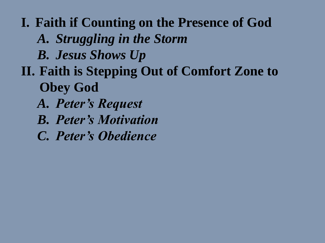- *A. Struggling in the Storm*
- *B. Jesus Shows Up*
- **II. Faith is Stepping Out of Comfort Zone to Obey God**
	- *A. Peter's Request*
	- *B. Peter's Motivation*
	- *C. Peter's Obedience*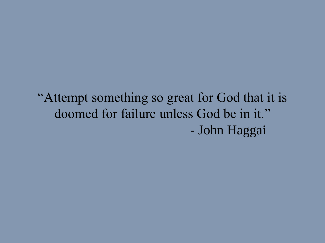"Attempt something so great for God that it is doomed for failure unless God be in it." - John Haggai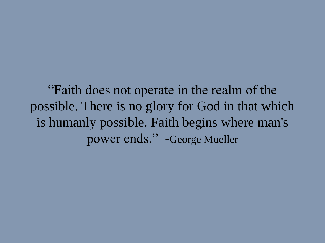"Faith does not operate in the realm of the possible. There is no glory for God in that which is humanly possible. Faith begins where man's power ends." -George Mueller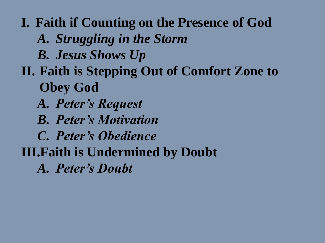*A. Struggling in the Storm*

*B. Jesus Shows Up*

- **II. Faith is Stepping Out of Comfort Zone to Obey God**
	- *A. Peter's Request*
	- *B. Peter's Motivation*
	- *C. Peter's Obedience*
- **III.Faith is Undermined by Doubt**

*A. Peter's Doubt*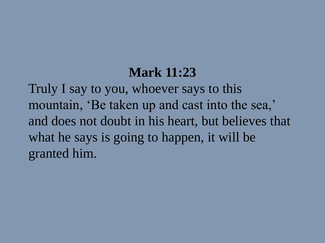### **Mark 11:23**

Truly I say to you, whoever says to this mountain, 'Be taken up and cast into the sea,' and does not doubt in his heart, but believes that what he says is going to happen, it will be granted him.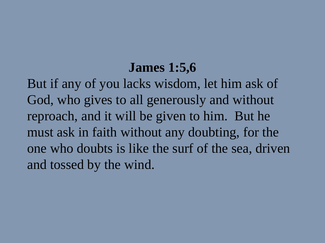### **James 1:5,6**

But if any of you lacks wisdom, let him ask of God, who gives to all generously and without reproach, and it will be given to him. But he must ask in faith without any doubting, for the one who doubts is like the surf of the sea, driven and tossed by the wind.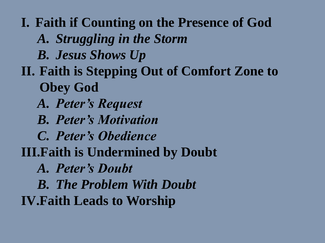*A. Struggling in the Storm*

*B. Jesus Shows Up*

**II. Faith is Stepping Out of Comfort Zone to Obey God**

*A. Peter's Request*

*B. Peter's Motivation*

*C. Peter's Obedience*

**III.Faith is Undermined by Doubt**

*A. Peter's Doubt*

*B. The Problem With Doubt*

**IV.Faith Leads to Worship**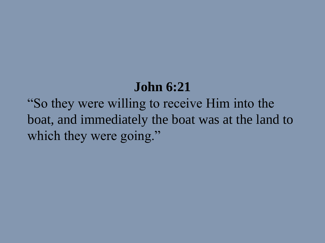## **John 6:21**

"So they were willing to receive Him into the boat, and immediately the boat was at the land to which they were going."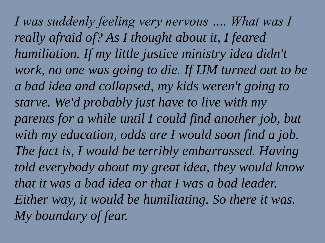*I was suddenly feeling very nervous …. What was I really afraid of? As I thought about it, I feared humiliation. If my little justice ministry idea didn't work, no one was going to die. If IJM turned out to be a bad idea and collapsed, my kids weren't going to starve. We'd probably just have to live with my parents for a while until I could find another job, but with my education, odds are I would soon find a job. The fact is, I would be terribly embarrassed. Having told everybody about my great idea, they would know that it was a bad idea or that I was a bad leader. Either way, it would be humiliating. So there it was. My boundary of fear.*